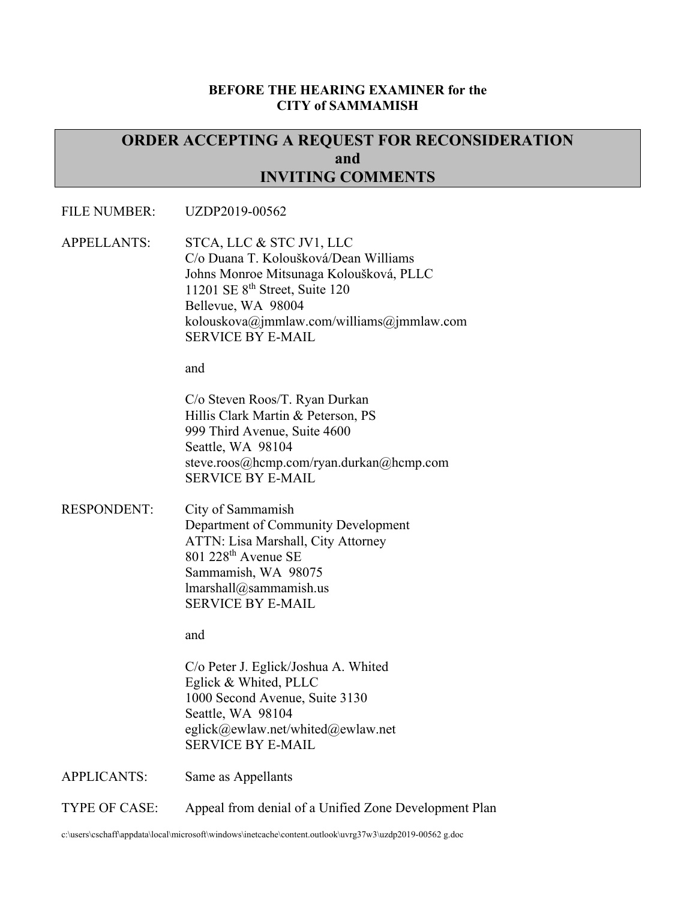#### **BEFORE THE HEARING EXAMINER for the CITY of SAMMAMISH**

# **ORDER ACCEPTING A REQUEST FOR RECONSIDERATION and INVITING COMMENTS**

#### FILE NUMBER: UZDP2019-00562

APPELLANTS: STCA, LLC & STC JV1, LLC C/o Duana T. Koloušková/Dean Williams Johns Monroe Mitsunaga Koloušková, PLLC 11201 SE 8th Street, Suite 120 Bellevue, WA 98004 kolouskova@jmmlaw.com/williams@jmmlaw.com SERVICE BY E-MAIL

and

C/o Steven Roos/T. Ryan Durkan Hillis Clark Martin & Peterson, PS 999 Third Avenue, Suite 4600 Seattle, WA 98104 steve.roos@hcmp.com/ryan.durkan@hcmp.com SERVICE BY E-MAIL

RESPONDENT: City of Sammamish Department of Community Development ATTN: Lisa Marshall, City Attorney 801 228th Avenue SE Sammamish, WA 98075 lmarshall@sammamish.us SERVICE BY E-MAIL

and

C/o Peter J. Eglick/Joshua A. Whited Eglick & Whited, PLLC 1000 Second Avenue, Suite 3130 Seattle, WA 98104 eglick@ewlaw.net/whited@ewlaw.net SERVICE BY E-MAIL

APPLICANTS: Same as Appellants

TYPE OF CASE: Appeal from denial of a Unified Zone Development Plan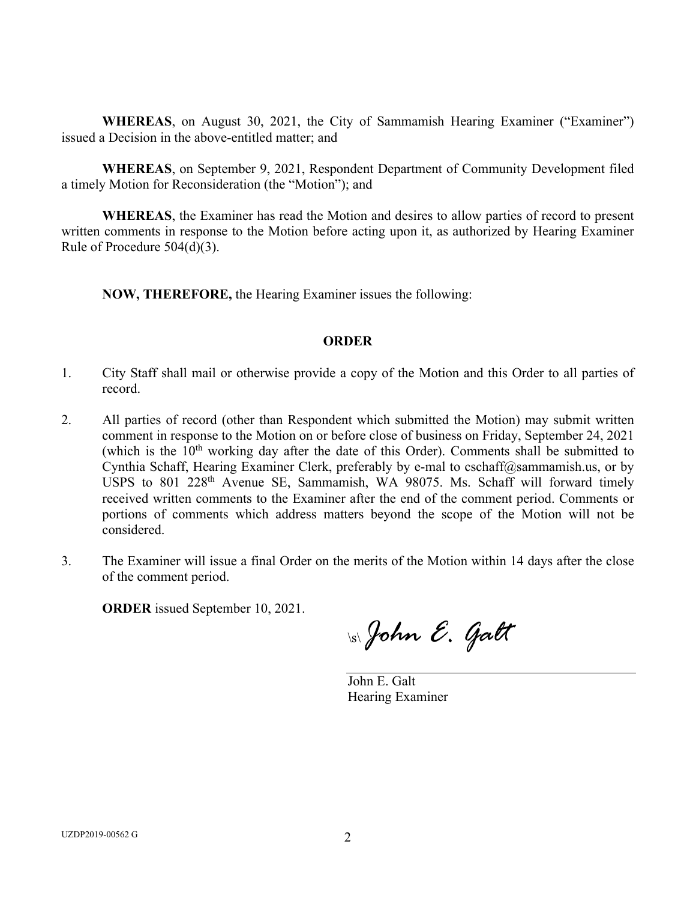**WHEREAS**, on August 30, 2021, the City of Sammamish Hearing Examiner ("Examiner") issued a Decision in the above-entitled matter; and

**WHEREAS**, on September 9, 2021, Respondent Department of Community Development filed a timely Motion for Reconsideration (the "Motion"); and

**WHEREAS**, the Examiner has read the Motion and desires to allow parties of record to present written comments in response to the Motion before acting upon it, as authorized by Hearing Examiner Rule of Procedure 504(d)(3).

**NOW, THEREFORE,** the Hearing Examiner issues the following:

#### **ORDER**

- 1. City Staff shall mail or otherwise provide a copy of the Motion and this Order to all parties of record.
- 2. All parties of record (other than Respondent which submitted the Motion) may submit written comment in response to the Motion on or before close of business on Friday, September 24, 2021 (which is the  $10<sup>th</sup>$  working day after the date of this Order). Comments shall be submitted to Cynthia Schaff, Hearing Examiner Clerk, preferably by e-mal to cschaff@sammamish.us, or by USPS to 801 228<sup>th</sup> Avenue SE, Sammamish, WA 98075. Ms. Schaff will forward timely received written comments to the Examiner after the end of the comment period. Comments or portions of comments which address matters beyond the scope of the Motion will not be considered.
- 3. The Examiner will issue a final Order on the merits of the Motion within 14 days after the close of the comment period.

**ORDER** issued September 10, 2021.

\s\ *John E. Galt* 

John E. Galt Hearing Examiner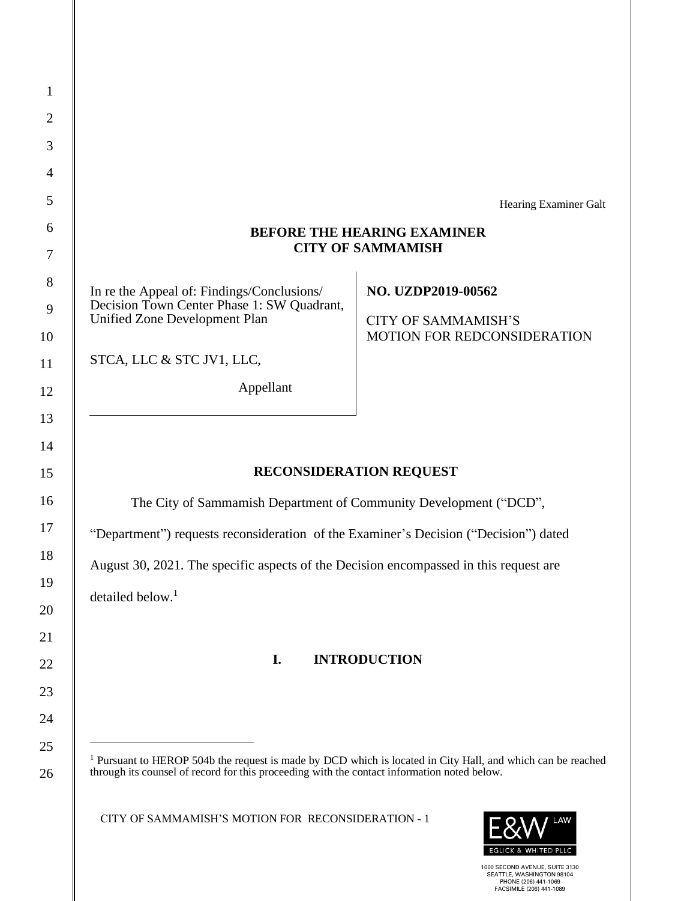|                                                                                                                        | Hearing Examiner Galt              |
|------------------------------------------------------------------------------------------------------------------------|------------------------------------|
| <b>BEFORE THE HEARING EXAMINER</b>                                                                                     |                                    |
|                                                                                                                        | <b>CITY OF SAMMAMISH</b>           |
| In re the Appeal of: Findings/Conclusions/                                                                             | NO. UZDP2019-00562                 |
| Decision Town Center Phase 1: SW Quadrant,<br><b>Unified Zone Development Plan</b>                                     | <b>CITY OF SAMMAMISH'S</b>         |
|                                                                                                                        | <b>MOTION FOR REDCONSIDERATION</b> |
| STCA, LLC & STC JV1, LLC,                                                                                              |                                    |
| Appellant                                                                                                              |                                    |
|                                                                                                                        |                                    |
|                                                                                                                        |                                    |
|                                                                                                                        | <b>RECONSIDERATION REQUEST</b>     |
| The City of Sammamish Department of Community Development ("DCD",                                                      |                                    |
| "Department") requests reconsideration of the Examiner's Decision ("Decision") dated                                   |                                    |
| August 30, 2021. The specific aspects of the Decision encompassed in this request are                                  |                                    |
| detailed below. $1$                                                                                                    |                                    |
|                                                                                                                        |                                    |
|                                                                                                                        |                                    |
| I.                                                                                                                     | <b>INTRODUCTION</b>                |
|                                                                                                                        |                                    |
|                                                                                                                        |                                    |
| <sup>1</sup> Pursuant to HEROP 504b the request is made by DCD which is located in City Hall, and which can be reached |                                    |
| through its counsel of record for this proceeding with the contact information noted below.                            |                                    |
| CITY OF SAMMAMISH'S MOTION FOR RECONSIDERATION - 1                                                                     |                                    |
|                                                                                                                        |                                    |

∥

1000 SECOND AVENUE, SUITE 3130 SEATTLE, WASHINGTON 98104 PHONE (206) 441-1069 FACSIMILE (206) 441-1089

EGLICK & WHITED PLLC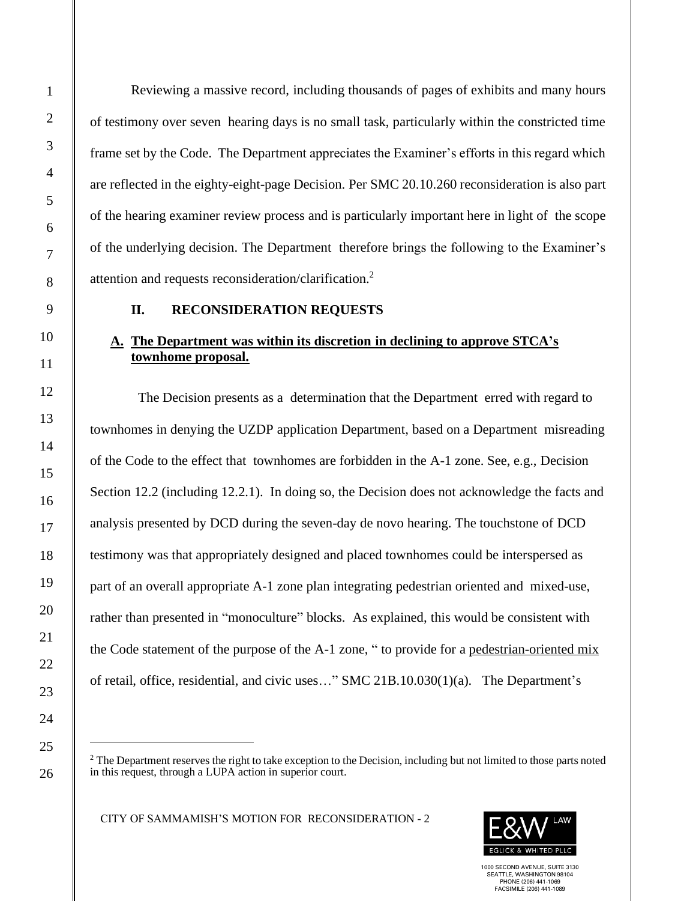1

2

3

4

5

6

7

8

9

Reviewing a massive record, including thousands of pages of exhibits and many hours of testimony over seven hearing days is no small task, particularly within the constricted time frame set by the Code. The Department appreciates the Examiner's efforts in this regard which are reflected in the eighty-eight-page Decision. Per SMC 20.10.260 reconsideration is also part of the hearing examiner review process and is particularly important here in light of the scope of the underlying decision. The Department therefore brings the following to the Examiner's attention and requests reconsideration/clarification. 2

#### **II. RECONSIDERATION REQUESTS**

## **A. The Department was within its discretion in declining to approve STCA's townhome proposal.**

 The Decision presents as a determination that the Department erred with regard to townhomes in denying the UZDP application Department, based on a Department misreading of the Code to the effect that townhomes are forbidden in the A-1 zone. See, e.g., Decision Section 12.2 (including 12.2.1). In doing so, the Decision does not acknowledge the facts and analysis presented by DCD during the seven-day de novo hearing. The touchstone of DCD testimony was that appropriately designed and placed townhomes could be interspersed as part of an overall appropriate A-1 zone plan integrating pedestrian oriented and mixed-use, rather than presented in "monoculture" blocks. As explained, this would be consistent with the Code statement of the purpose of the A-1 zone, " to provide for a pedestrian-oriented mix of retail, office, residential, and civic uses…" SMC 21B.10.030(1)(a). The Department's



<sup>&</sup>lt;sup>2</sup> The Department reserves the right to take exception to the Decision, including but not limited to those parts noted in this request, through a LUPA action in superior court.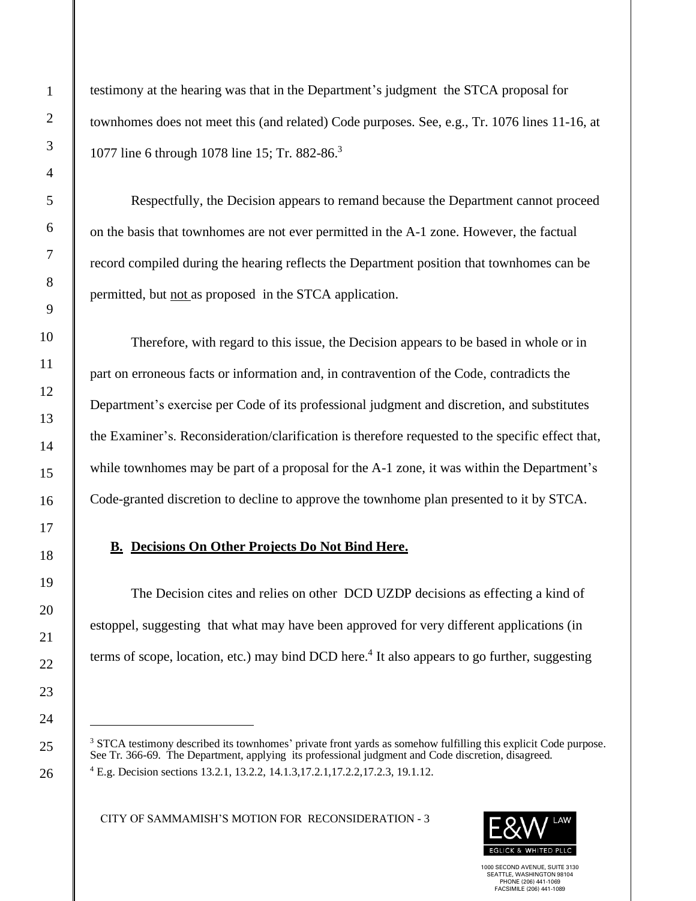testimony at the hearing was that in the Department's judgment the STCA proposal for townhomes does not meet this (and related) Code purposes. See, e.g., Tr. 1076 lines 11-16, at 1077 line 6 through 1078 line 15; Tr. 882-86.<sup>3</sup>

Respectfully, the Decision appears to remand because the Department cannot proceed on the basis that townhomes are not ever permitted in the A-1 zone. However, the factual record compiled during the hearing reflects the Department position that townhomes can be permitted, but not as proposed in the STCA application.

Therefore, with regard to this issue, the Decision appears to be based in whole or in part on erroneous facts or information and, in contravention of the Code, contradicts the Department's exercise per Code of its professional judgment and discretion, and substitutes the Examiner's. Reconsideration/clarification is therefore requested to the specific effect that, while townhomes may be part of a proposal for the A-1 zone, it was within the Department's Code-granted discretion to decline to approve the townhome plan presented to it by STCA.

#### **B. Decisions On Other Projects Do Not Bind Here.**

The Decision cites and relies on other DCD UZDP decisions as effecting a kind of estoppel, suggesting that what may have been approved for very different applications (in terms of scope, location, etc.) may bind DCD here.<sup>4</sup> It also appears to go further, suggesting

CITY OF SAMMAMISH'S MOTION FOR RECONSIDERATION - 3



<sup>&</sup>lt;sup>3</sup> STCA testimony described its townhomes' private front yards as somehow fulfilling this explicit Code purpose. See Tr. 366-69. The Department, applying its professional judgment and Code discretion, disagreed. <sup>4</sup> E.g. Decision sections 13.2.1, 13.2.2, 14.1.3,17.2.1,17.2.2,17.2.3, 19.1.12.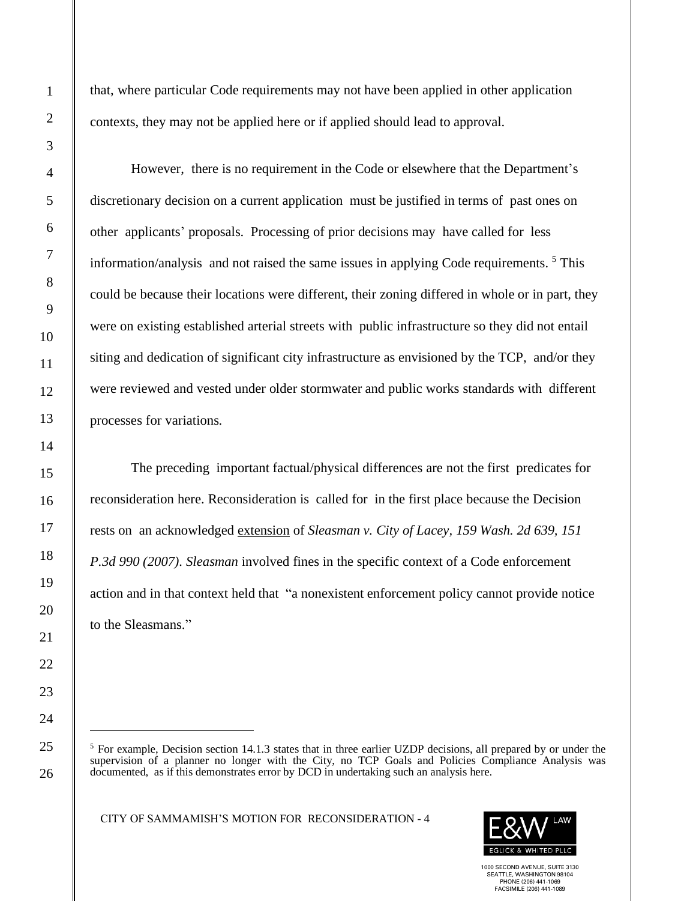that, where particular Code requirements may not have been applied in other application contexts, they may not be applied here or if applied should lead to approval.

However, there is no requirement in the Code or elsewhere that the Department's discretionary decision on a current application must be justified in terms of past ones on other applicants' proposals. Processing of prior decisions may have called for less information/analysis and not raised the same issues in applying Code requirements. <sup>5</sup> This could be because their locations were different, their zoning differed in whole or in part, they were on existing established arterial streets with public infrastructure so they did not entail siting and dedication of significant city infrastructure as envisioned by the TCP, and/or they were reviewed and vested under older stormwater and public works standards with different processes for variations.

The preceding important factual/physical differences are not the first predicates for reconsideration here. Reconsideration is called for in the first place because the Decision rests on an acknowledged extension of *Sleasman v. City of Lacey, 159 Wash. 2d 639, 151 P.3d 990 (2007). Sleasman* involved fines in the specific context of a Code enforcement action and in that context held that "a nonexistent enforcement policy cannot provide notice to the Sleasmans."

CITY OF SAMMAMISH'S MOTION FOR RECONSIDERATION - 4



<sup>&</sup>lt;sup>5</sup> For example, Decision section 14.1.3 states that in three earlier UZDP decisions, all prepared by or under the supervision of a planner no longer with the City, no TCP Goals and Policies Compliance Analysis was documented, as if this demonstrates error by DCD in undertaking such an analysis here.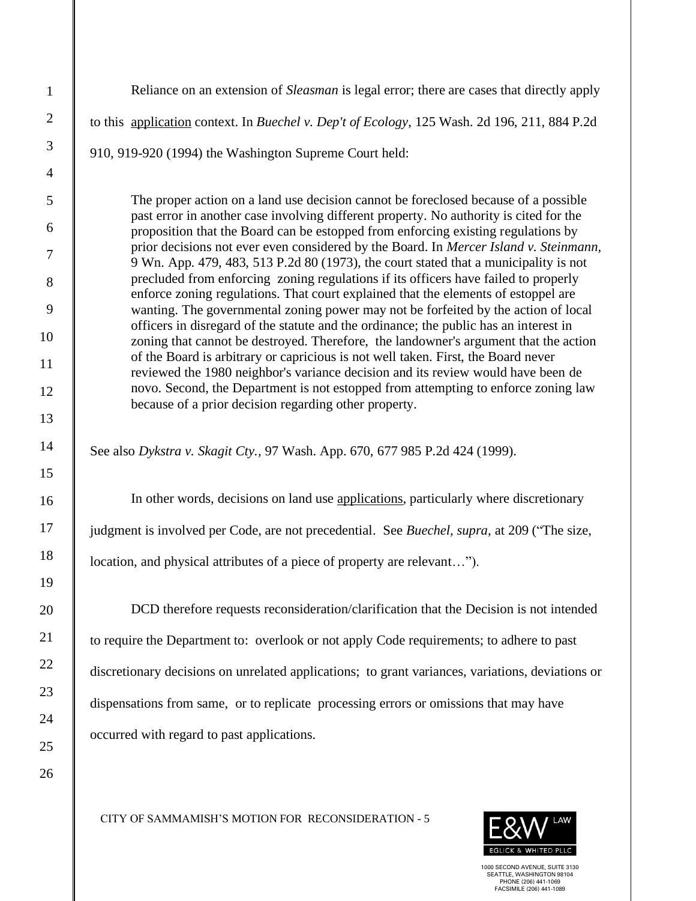| $\mathbf{1}$   | Reliance on an extension of <i>Sleasman</i> is legal error; there are cases that directly apply                                                                                                                                                                      |
|----------------|----------------------------------------------------------------------------------------------------------------------------------------------------------------------------------------------------------------------------------------------------------------------|
| $\overline{2}$ | to this application context. In Buechel v. Dep't of Ecology, 125 Wash. 2d 196, 211, 884 P.2d                                                                                                                                                                         |
| $\mathfrak{Z}$ | 910, 919-920 (1994) the Washington Supreme Court held:                                                                                                                                                                                                               |
| $\overline{4}$ |                                                                                                                                                                                                                                                                      |
| $\mathfrak{S}$ | The proper action on a land use decision cannot be foreclosed because of a possible                                                                                                                                                                                  |
| 6              | past error in another case involving different property. No authority is cited for the<br>proposition that the Board can be estopped from enforcing existing regulations by<br>prior decisions not ever even considered by the Board. In Mercer Island v. Steinmann, |
| $\tau$         | 9 Wn. App. 479, 483, 513 P.2d 80 (1973), the court stated that a municipality is not<br>precluded from enforcing zoning regulations if its officers have failed to properly                                                                                          |
| 8<br>9         | enforce zoning regulations. That court explained that the elements of estoppel are<br>wanting. The governmental zoning power may not be forfeited by the action of local                                                                                             |
| 10             | officers in disregard of the statute and the ordinance; the public has an interest in<br>zoning that cannot be destroyed. Therefore, the landowner's argument that the action                                                                                        |
| 11             | of the Board is arbitrary or capricious is not well taken. First, the Board never                                                                                                                                                                                    |
| 12             | reviewed the 1980 neighbor's variance decision and its review would have been de<br>novo. Second, the Department is not estopped from attempting to enforce zoning law                                                                                               |
| 13             | because of a prior decision regarding other property.                                                                                                                                                                                                                |
| 14<br>15       | See also Dykstra v. Skagit Cty., 97 Wash. App. 670, 677 985 P.2d 424 (1999).                                                                                                                                                                                         |
| 16             | In other words, decisions on land use applications, particularly where discretionary                                                                                                                                                                                 |
| 17             | judgment is involved per Code, are not precedential. See Buechel, supra, at 209 ("The size,                                                                                                                                                                          |
| 18             | location, and physical attributes of a piece of property are relevant").                                                                                                                                                                                             |
| 19             |                                                                                                                                                                                                                                                                      |
| 20             | DCD therefore requests reconsideration/clarification that the Decision is not intended                                                                                                                                                                               |
| 21             | to require the Department to: overlook or not apply Code requirements; to adhere to past                                                                                                                                                                             |
| 22             | discretionary decisions on unrelated applications; to grant variances, variations, deviations or                                                                                                                                                                     |
| 23             | dispensations from same, or to replicate processing errors or omissions that may have                                                                                                                                                                                |
| 24             | occurred with regard to past applications.                                                                                                                                                                                                                           |
| 25             |                                                                                                                                                                                                                                                                      |
| 26             |                                                                                                                                                                                                                                                                      |

CITY OF SAMMAMISH'S MOTION FOR RECONSIDERATION - 5

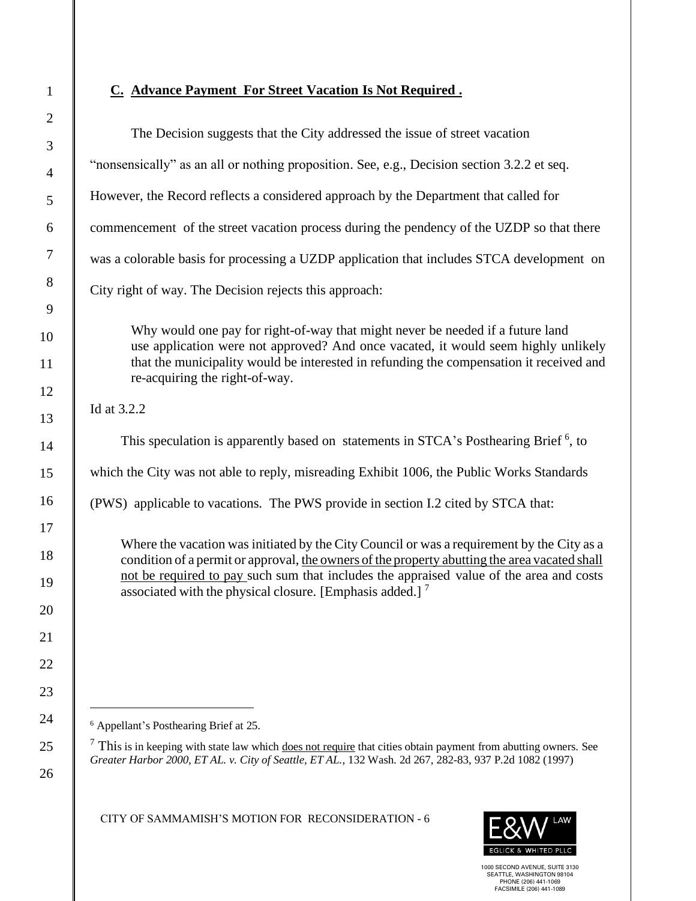1

# **C. Advance Payment For Street Vacation Is Not Required .**

| $\mathbf{2}$         |                                                                                                                                                                                                                                                                                        |
|----------------------|----------------------------------------------------------------------------------------------------------------------------------------------------------------------------------------------------------------------------------------------------------------------------------------|
| $\mathfrak{Z}$       | The Decision suggests that the City addressed the issue of street vacation                                                                                                                                                                                                             |
| $\overline{4}$       | "nonsensically" as an all or nothing proposition. See, e.g., Decision section 3.2.2 et seq.                                                                                                                                                                                            |
| 5                    | However, the Record reflects a considered approach by the Department that called for                                                                                                                                                                                                   |
| 6                    | commencement of the street vacation process during the pendency of the UZDP so that there                                                                                                                                                                                              |
| $\overline{7}$       | was a colorable basis for processing a UZDP application that includes STCA development on                                                                                                                                                                                              |
| 8                    | City right of way. The Decision rejects this approach:                                                                                                                                                                                                                                 |
| 9                    |                                                                                                                                                                                                                                                                                        |
| 10                   | Why would one pay for right-of-way that might never be needed if a future land<br>use application were not approved? And once vacated, it would seem highly unlikely                                                                                                                   |
| 11                   | that the municipality would be interested in refunding the compensation it received and<br>re-acquiring the right-of-way.                                                                                                                                                              |
| 12                   | Id at 3.2.2                                                                                                                                                                                                                                                                            |
| 13                   |                                                                                                                                                                                                                                                                                        |
| 14                   | This speculation is apparently based on statements in STCA's Posthearing Brief <sup>6</sup> , to                                                                                                                                                                                       |
| 15                   | which the City was not able to reply, misreading Exhibit 1006, the Public Works Standards                                                                                                                                                                                              |
| 16                   | (PWS) applicable to vacations. The PWS provide in section I.2 cited by STCA that:                                                                                                                                                                                                      |
| 17<br>18<br>19       | Where the vacation was initiated by the City Council or was a requirement by the City as a<br>condition of a permit or approval, the owners of the property abutting the area vacated shall<br>not be required to pay such sum that includes the appraised value of the area and costs |
| 20<br>21<br>22<br>23 | associated with the physical closure. [Emphasis added.] $^7$                                                                                                                                                                                                                           |
| 24                   | <sup>6</sup> Appellant's Posthearing Brief at 25.                                                                                                                                                                                                                                      |
| 25<br>26             | $\frac{7}{1}$ This is in keeping with state law which does not require that cities obtain payment from abutting owners. See<br>Greater Harbor 2000, ET AL. v. City of Seattle, ET AL., 132 Wash. 2d 267, 282-83, 937 P.2d 1082 (1997)                                                  |
|                      | CITY OF SAMMAMISH'S MOTION FOR RECONSIDERATION - 6<br>$P^2$                                                                                                                                                                                                                            |

1000 SECOND AVENUE, SUITE 3130 SEATTLE, WASHINGTON 98104 PHONE (206) 441-1069 FACSIMILE (206) 441-1089

**EGLICK & WHITED PLLC**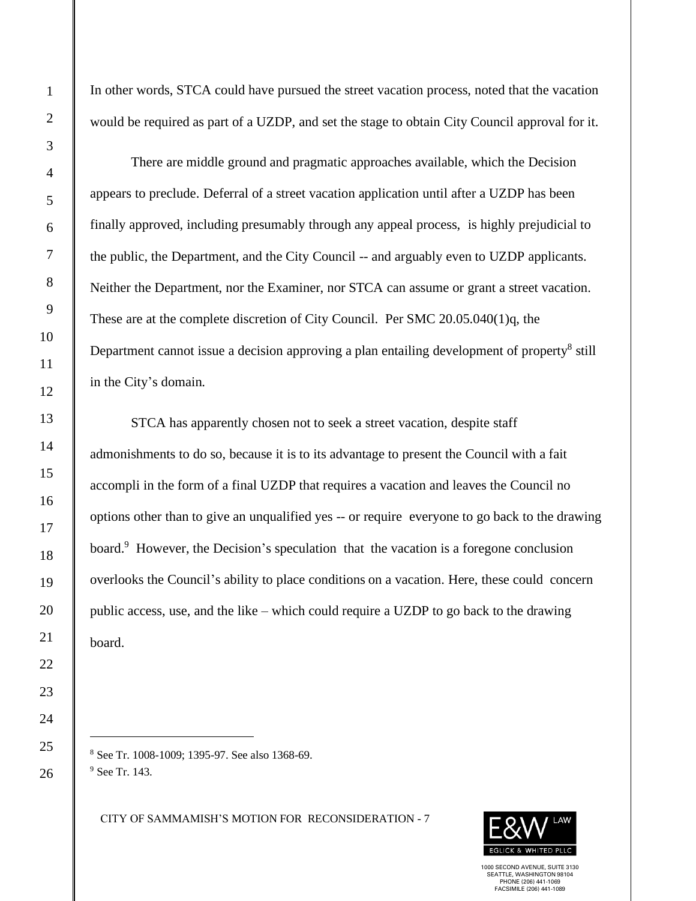In other words, STCA could have pursued the street vacation process, noted that the vacation would be required as part of a UZDP, and set the stage to obtain City Council approval for it.

There are middle ground and pragmatic approaches available, which the Decision appears to preclude. Deferral of a street vacation application until after a UZDP has been finally approved, including presumably through any appeal process, is highly prejudicial to the public, the Department, and the City Council -- and arguably even to UZDP applicants. Neither the Department, nor the Examiner, nor STCA can assume or grant a street vacation. These are at the complete discretion of City Council. Per SMC 20.05.040(1)q, the Department cannot issue a decision approving a plan entailing development of property<sup>8</sup> still in the City's domain.

STCA has apparently chosen not to seek a street vacation, despite staff admonishments to do so, because it is to its advantage to present the Council with a fait accompli in the form of a final UZDP that requires a vacation and leaves the Council no options other than to give an unqualified yes -- or require everyone to go back to the drawing board.<sup>9</sup> However, the Decision's speculation that the vacation is a foregone conclusion overlooks the Council's ability to place conditions on a vacation. Here, these could concern public access, use, and the like – which could require a UZDP to go back to the drawing board.

<sup>8</sup> See Tr. 1008-1009; 1395-97. See also 1368-69. <sup>9</sup> See Tr. 143.

CITY OF SAMMAMISH'S MOTION FOR RECONSIDERATION - 7

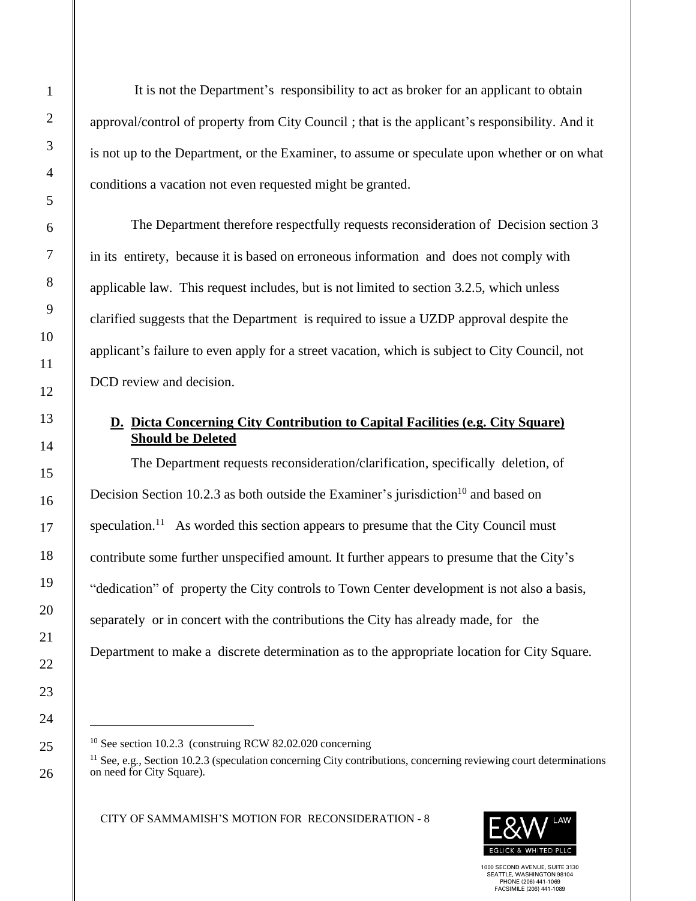It is not the Department's responsibility to act as broker for an applicant to obtain approval/control of property from City Council ; that is the applicant's responsibility. And it is not up to the Department, or the Examiner, to assume or speculate upon whether or on what conditions a vacation not even requested might be granted.

The Department therefore respectfully requests reconsideration of Decision section 3 in its entirety, because it is based on erroneous information and does not comply with applicable law. This request includes, but is not limited to section 3.2.5, which unless clarified suggests that the Department is required to issue a UZDP approval despite the applicant's failure to even apply for a street vacation, which is subject to City Council, not DCD review and decision.

## **D. Dicta Concerning City Contribution to Capital Facilities (e.g. City Square) Should be Deleted**

The Department requests reconsideration/clarification, specifically deletion, of Decision Section 10.2.3 as both outside the Examiner's jurisdiction<sup>10</sup> and based on speculation.<sup>11</sup> As worded this section appears to presume that the City Council must contribute some further unspecified amount. It further appears to presume that the City's "dedication" of property the City controls to Town Center development is not also a basis, separately or in concert with the contributions the City has already made, for the Department to make a discrete determination as to the appropriate location for City Square.

CITY OF SAMMAMISH'S MOTION FOR RECONSIDERATION - 8



<sup>&</sup>lt;sup>10</sup> See section 10.2.3 (construing RCW 82.02.020 concerning

<sup>&</sup>lt;sup>11</sup> See, e.g., Section 10.2.3 (speculation concerning City contributions, concerning reviewing court determinations on need for City Square).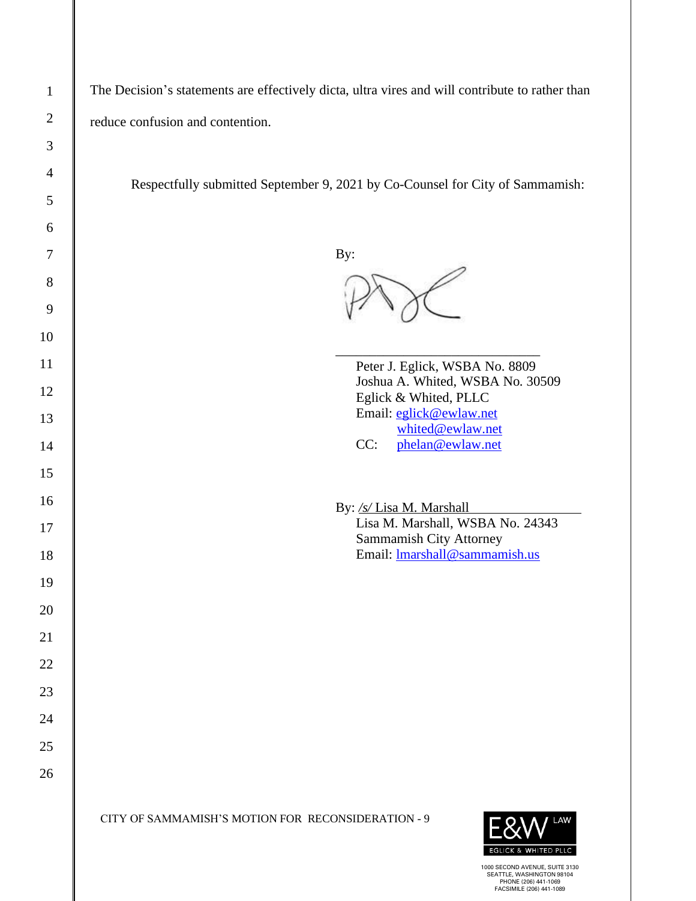| $\mathbf{1}$   | The Decision's statements are effectively dicta, ultra vires and will contribute to rather than |
|----------------|-------------------------------------------------------------------------------------------------|
| $\overline{2}$ | reduce confusion and contention.                                                                |
| 3              |                                                                                                 |
| $\overline{4}$ | Respectfully submitted September 9, 2021 by Co-Counsel for City of Sammamish:                   |
| 5              |                                                                                                 |
| 6              |                                                                                                 |
| 7              | By:                                                                                             |
| 8              |                                                                                                 |
| 9<br>10        |                                                                                                 |
| 11             | Peter J. Eglick, WSBA No. 8809                                                                  |
| 12             | Joshua A. Whited, WSBA No. 30509<br>Eglick & Whited, PLLC                                       |
| 13             | Email: eglick@ewlaw.net                                                                         |
| 14             | whited@ewlaw.net<br>CC:<br>phelan@ewlaw.net                                                     |
| 15             |                                                                                                 |
| 16             | By: /s/ Lisa M. Marshall                                                                        |
| 17             | Lisa M. Marshall, WSBA No. 24343<br>Sammamish City Attorney                                     |
| 18             | Email: <b>Imarshall@sammamish.us</b>                                                            |
| 19             |                                                                                                 |
| 20             |                                                                                                 |
| 21             |                                                                                                 |
| 22             |                                                                                                 |
| 23             |                                                                                                 |
| 24             |                                                                                                 |
| 25             |                                                                                                 |
| 26             |                                                                                                 |
|                | CITY OF SAMMAMISH'S MOTION FOR RECONSIDERATION - 9<br>LAW<br><b>EGLICK &amp; WHITED PLLC</b>    |

 $\mathsf{I}$